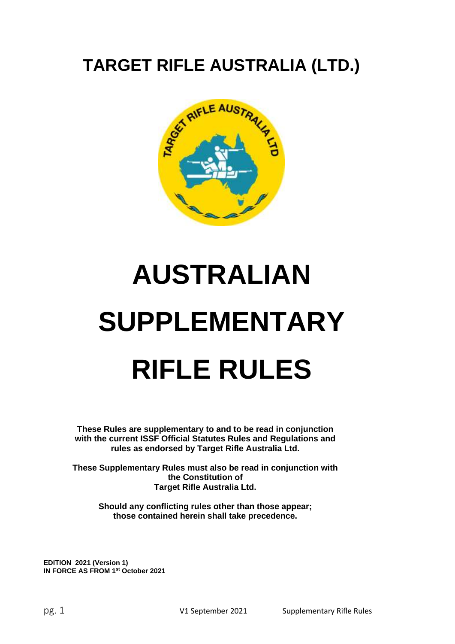## **TARGET RIFLE AUSTRALIA (LTD.)**



# **AUSTRALIAN SUPPLEMENTARY RIFLE RULES**

**These Rules are supplementary to and to be read in conjunction with the current ISSF Official Statutes Rules and Regulations and rules as endorsed by Target Rifle Australia Ltd.**

**These Supplementary Rules must also be read in conjunction with the Constitution of Target Rifle Australia Ltd.**

**Should any conflicting rules other than those appear; those contained herein shall take precedence.**

**EDITION 2021 (Version 1) IN FORCE AS FROM 1 st October 2021**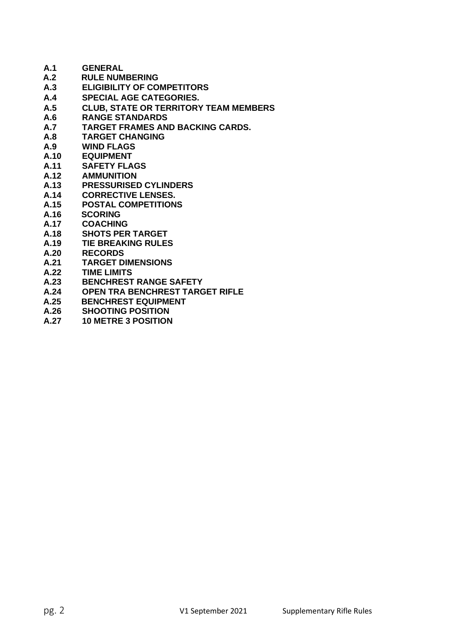| A.1        | <b>GENERAL</b>                               |
|------------|----------------------------------------------|
| A.2        | <b>RULE NUMBERING</b>                        |
| A.3        | <b>ELIGIBILITY OF COMPETITORS</b>            |
| A.4        | <b>SPECIAL AGE CATEGORIES.</b>               |
| A.5        | <b>CLUB, STATE OR TERRITORY TEAM MEMBERS</b> |
| A.6        | <b>RANGE STANDARDS</b>                       |
| <b>A.7</b> | <b>TARGET FRAMES AND BACKING CARDS.</b>      |
| A.8        | <b>TARGET CHANGING</b>                       |
| A.9        | <b>WIND FLAGS</b>                            |
| A.10       | <b>EQUIPMENT</b>                             |
| A.11       | <b>SAFETY FLAGS</b>                          |
| A.12       | <b>AMMUNITION</b>                            |
| A.13       | <b>PRESSURISED CYLINDERS</b>                 |
| A.14       | <b>CORRECTIVE LENSES.</b>                    |
| A.15       | <b>POSTAL COMPETITIONS</b>                   |
| A.16       | <b>SCORING</b>                               |
| A.17       | <b>COACHING</b>                              |
| A.18       | <b>SHOTS PER TARGET</b>                      |
| A.19       | <b>TIE BREAKING RULES</b>                    |
| A.20       | <b>RECORDS</b>                               |
| A.21       | <b>TARGET DIMENSIONS</b>                     |
| A.22       | <b>TIME LIMITS</b>                           |
| A.23       | <b>BENCHREST RANGE SAFETY</b>                |
| A.24       | <b>OPEN TRA BENCHREST TARGET RIFLE</b>       |
| A.25       | <b>BENCHREST EQUIPMENT</b>                   |
| A.26       | <b>SHOOTING POSITION</b>                     |

**A.27 10 METRE 3 POSITION**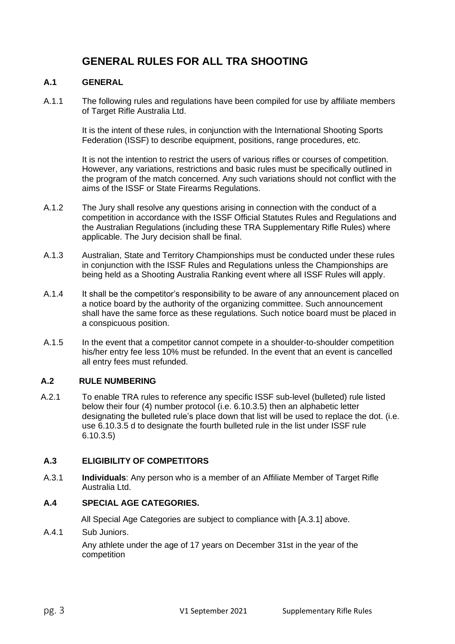### **GENERAL RULES FOR ALL TRA SHOOTING**

#### **A.1 GENERAL**

A.1.1 The following rules and regulations have been compiled for use by affiliate members of Target Rifle Australia Ltd.

> It is the intent of these rules, in conjunction with the International Shooting Sports Federation (ISSF) to describe equipment, positions, range procedures, etc.

It is not the intention to restrict the users of various rifles or courses of competition. However, any variations, restrictions and basic rules must be specifically outlined in the program of the match concerned. Any such variations should not conflict with the aims of the ISSF or State Firearms Regulations.

- A.1.2 The Jury shall resolve any questions arising in connection with the conduct of a competition in accordance with the ISSF Official Statutes Rules and Regulations and the Australian Regulations (including these TRA Supplementary Rifle Rules) where applicable. The Jury decision shall be final.
- A.1.3 Australian, State and Territory Championships must be conducted under these rules in conjunction with the ISSF Rules and Regulations unless the Championships are being held as a Shooting Australia Ranking event where all ISSF Rules will apply.
- A.1.4 It shall be the competitor's responsibility to be aware of any announcement placed on a notice board by the authority of the organizing committee. Such announcement shall have the same force as these regulations. Such notice board must be placed in a conspicuous position.
- A.1.5 In the event that a competitor cannot compete in a shoulder-to-shoulder competition his/her entry fee less 10% must be refunded. In the event that an event is cancelled all entry fees must refunded.

#### **A.2 RULE NUMBERING**

A.2.1 To enable TRA rules to reference any specific ISSF sub-level (bulleted) rule listed below their four (4) number protocol (i.e. 6.10.3.5) then an alphabetic letter designating the bulleted rule's place down that list will be used to replace the dot. (i.e. use 6.10.3.5 d to designate the fourth bulleted rule in the list under ISSF rule 6.10.3.5)

#### **A.3 ELIGIBILITY OF COMPETITORS**

A.3.1 **Individuals**: Any person who is a member of an Affiliate Member of Target Rifle Australia Ltd.

#### **A.4 SPECIAL AGE CATEGORIES.**

All Special Age Categories are subject to compliance with [A.3.1] above.

A.4.1 Sub Juniors.

Any athlete under the age of 17 years on December 31st in the year of the competition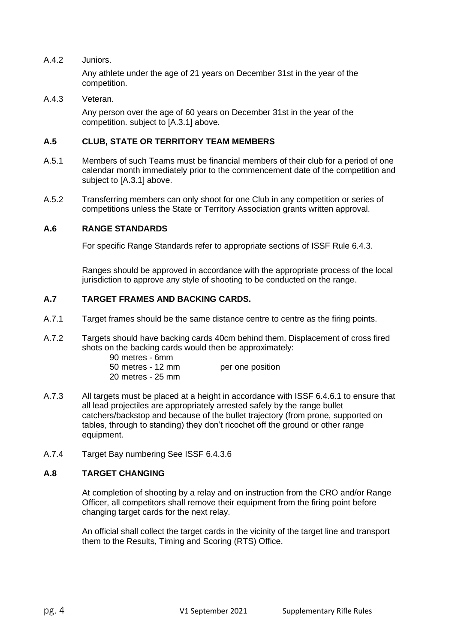A.4.2 Juniors.

Any athlete under the age of 21 years on December 31st in the year of the competition.

A.4.3 Veteran.

Any person over the age of 60 years on December 31st in the year of the competition. subject to [A.3.1] above.

#### **A.5 CLUB, STATE OR TERRITORY TEAM MEMBERS**

- A.5.1 Members of such Teams must be financial members of their club for a period of one calendar month immediately prior to the commencement date of the competition and subject to [A.3.1] above.
- A.5.2 Transferring members can only shoot for one Club in any competition or series of competitions unless the State or Territory Association grants written approval.

#### **A.6 RANGE STANDARDS**

For specific Range Standards refer to appropriate sections of ISSF Rule 6.4.3.

Ranges should be approved in accordance with the appropriate process of the local jurisdiction to approve any style of shooting to be conducted on the range.

#### **A.7 TARGET FRAMES AND BACKING CARDS.**

- A.7.1 Target frames should be the same distance centre to centre as the firing points.
- A.7.2 Targets should have backing cards 40cm behind them. Displacement of cross fired shots on the backing cards would then be approximately: 90 metres - 6mm

| <u>JU HIGUGS - UITIIII</u> |                  |
|----------------------------|------------------|
| 50 metres - 12 mm          | per one position |
| 20 metres - 25 mm          |                  |

- A.7.3 All targets must be placed at a height in accordance with ISSF 6.4.6.1 to ensure that all lead projectiles are appropriately arrested safely by the range bullet catchers/backstop and because of the bullet trajectory (from prone, supported on tables, through to standing) they don't ricochet off the ground or other range equipment.
- A.7.4 Target Bay numbering See ISSF 6.4.3.6

#### **A.8 TARGET CHANGING**

At completion of shooting by a relay and on instruction from the CRO and/or Range Officer, all competitors shall remove their equipment from the firing point before changing target cards for the next relay.

An official shall collect the target cards in the vicinity of the target line and transport them to the Results, Timing and Scoring (RTS) Office.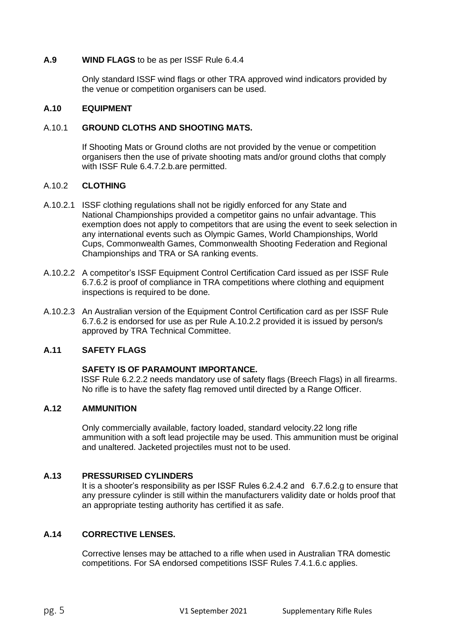#### **A.9 WIND FLAGS** to be as per ISSF Rule 6.4.4

Only standard ISSF wind flags or other TRA approved wind indicators provided by the venue or competition organisers can be used.

#### **A.10 EQUIPMENT**

#### A.10.1 **GROUND CLOTHS AND SHOOTING MATS.**

If Shooting Mats or Ground cloths are not provided by the venue or competition organisers then the use of private shooting mats and/or ground cloths that comply with ISSF Rule 6.4.7.2.b.are permitted.

#### A.10.2 **CLOTHING**

- A.10.2.1 ISSF clothing regulations shall not be rigidly enforced for any State and National Championships provided a competitor gains no unfair advantage. This exemption does not apply to competitors that are using the event to seek selection in any international events such as Olympic Games, World Championships, World Cups, Commonwealth Games, Commonwealth Shooting Federation and Regional Championships and TRA or SA ranking events.
- A.10.2.2 A competitor's ISSF Equipment Control Certification Card issued as per ISSF Rule 6.7.6.2 is proof of compliance in TRA competitions where clothing and equipment inspections is required to be done.
- A.10.2.3 An Australian version of the Equipment Control Certification card as per ISSF Rule 6.7.6.2 is endorsed for use as per Rule A.10.2.2 provided it is issued by person/s approved by TRA Technical Committee.

#### **A.11 SAFETY FLAGS**

#### **SAFETY IS OF PARAMOUNT IMPORTANCE.**

ISSF Rule 6.2.2.2 needs mandatory use of safety flags (Breech Flags) in all firearms. No rifle is to have the safety flag removed until directed by a Range Officer.

#### **A.12 AMMUNITION**

Only commercially available, factory loaded, standard velocity.22 long rifle ammunition with a soft lead projectile may be used. This ammunition must be original and unaltered. Jacketed projectiles must not to be used.

#### **A.13 PRESSURISED CYLINDERS**

It is a shooter's responsibility as per ISSF Rules 6.2.4.2 and 6.7.6.2.g to ensure that any pressure cylinder is still within the manufacturers validity date or holds proof that an appropriate testing authority has certified it as safe.

#### **A.14 CORRECTIVE LENSES.**

Corrective lenses may be attached to a rifle when used in Australian TRA domestic competitions. For SA endorsed competitions ISSF Rules 7.4.1.6.c applies.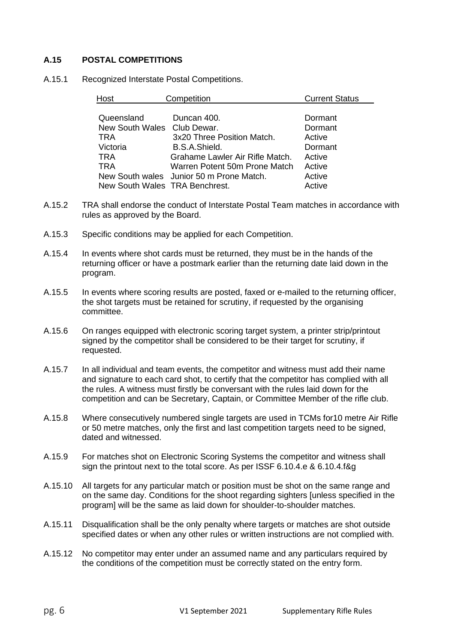#### **A.15 POSTAL COMPETITIONS**

A.15.1 Recognized Interstate Postal Competitions.

| lost                           | Competition                              | <b>Current Status</b> |
|--------------------------------|------------------------------------------|-----------------------|
|                                |                                          |                       |
| Queensland                     | Duncan 400.                              | Dormant               |
| New South Wales Club Dewar.    |                                          | Dormant               |
| TRA                            | 3x20 Three Position Match.               | Active                |
| Victoria                       | B.S.A.Shield.                            | Dormant               |
| <b>TRA</b>                     | Grahame Lawler Air Rifle Match.          | Active                |
| TRA                            | Warren Potent 50m Prone Match            | Active                |
|                                | New South wales Junior 50 m Prone Match. | Active                |
| New South Wales TRA Benchrest. |                                          | Active                |

- A.15.2 TRA shall endorse the conduct of Interstate Postal Team matches in accordance with rules as approved by the Board.
- A.15.3 Specific conditions may be applied for each Competition.
- A.15.4 In events where shot cards must be returned, they must be in the hands of the returning officer or have a postmark earlier than the returning date laid down in the program.
- A.15.5 In events where scoring results are posted, faxed or e-mailed to the returning officer, the shot targets must be retained for scrutiny, if requested by the organising committee.
- A.15.6 On ranges equipped with electronic scoring target system, a printer strip/printout signed by the competitor shall be considered to be their target for scrutiny, if requested.
- A.15.7 In all individual and team events, the competitor and witness must add their name and signature to each card shot, to certify that the competitor has complied with all the rules. A witness must firstly be conversant with the rules laid down for the competition and can be Secretary, Captain, or Committee Member of the rifle club.
- A.15.8 Where consecutively numbered single targets are used in TCMs for10 metre Air Rifle or 50 metre matches, only the first and last competition targets need to be signed, dated and witnessed.
- A.15.9 For matches shot on Electronic Scoring Systems the competitor and witness shall sign the printout next to the total score. As per ISSF 6.10.4.e & 6.10.4.f&g
- A.15.10 All targets for any particular match or position must be shot on the same range and on the same day. Conditions for the shoot regarding sighters [unless specified in the program] will be the same as laid down for shoulder-to-shoulder matches.
- A.15.11 Disqualification shall be the only penalty where targets or matches are shot outside specified dates or when any other rules or written instructions are not complied with.
- A.15.12 No competitor may enter under an assumed name and any particulars required by the conditions of the competition must be correctly stated on the entry form.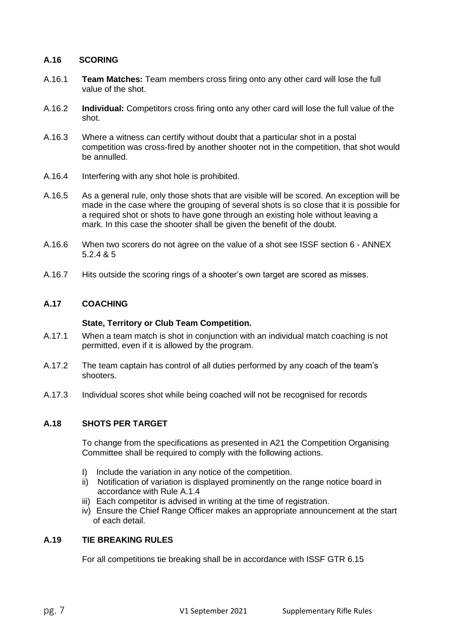#### **A.16 SCORING**

- A.16.1 **Team Matches:** Team members cross firing onto any other card will lose the full value of the shot.
- A.16.2 **Individual:** Competitors cross firing onto any other card will lose the full value of the shot.
- A.16.3 Where a witness can certify without doubt that a particular shot in a postal competition was cross-fired by another shooter not in the competition, that shot would be annulled.
- A.16.4 Interfering with any shot hole is prohibited.
- A.16.5 As a general rule, only those shots that are visible will be scored. An exception will be made in the case where the grouping of several shots is so close that it is possible for a required shot or shots to have gone through an existing hole without leaving a mark. In this case the shooter shall be given the benefit of the doubt.
- A.16.6 When two scorers do not agree on the value of a shot see ISSF section 6 ANNEX 5.2.4 & 5
- A.16.7 Hits outside the scoring rings of a shooter's own target are scored as misses.

#### **A.17 COACHING**

#### **State, Territory or Club Team Competition.**

- A.17.1 When a team match is shot in conjunction with an individual match coaching is not permitted, even if it is allowed by the program.
- A.17.2 The team captain has control of all duties performed by any coach of the team's shooters.
- A.17.3 Individual scores shot while being coached will not be recognised for records

#### **A.18 SHOTS PER TARGET**

To change from the specifications as presented in A21 the Competition Organising Committee shall be required to comply with the following actions.

- I) Include the variation in any notice of the competition.
- ii) Notification of variation is displayed prominently on the range notice board in accordance with Rule A.1.4
- iii) Each competitor is advised in writing at the time of registration.
- iv) Ensure the Chief Range Officer makes an appropriate announcement at the start of each detail.

#### **A.19 TIE BREAKING RULES**

For all competitions tie breaking shall be in accordance with ISSF GTR 6.15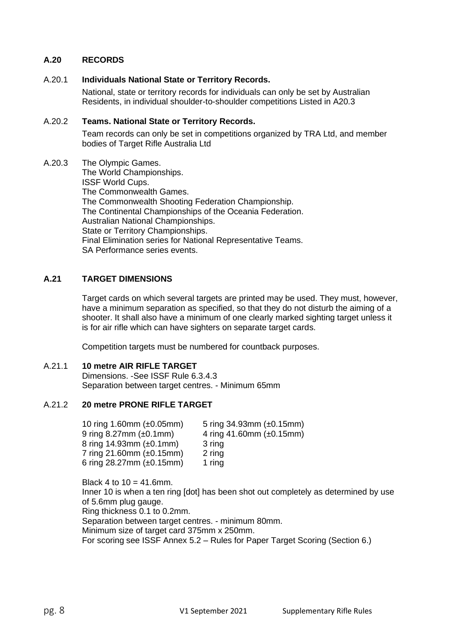#### **A.20 RECORDS**

#### A.20.1 **Individuals National State or Territory Records.**

National, state or territory records for individuals can only be set by Australian Residents, in individual shoulder-to-shoulder competitions Listed in A20.3

#### A.20.2 **Teams. National State or Territory Records.**

Team records can only be set in competitions organized by TRA Ltd, and member bodies of Target Rifle Australia Ltd

A.20.3 The Olympic Games. The World Championships. ISSF World Cups. The Commonwealth Games. The Commonwealth Shooting Federation Championship. The Continental Championships of the Oceania Federation. Australian National Championships. State or Territory Championships. Final Elimination series for National Representative Teams. SA Performance series events.

#### **A.21 TARGET DIMENSIONS**

Target cards on which several targets are printed may be used. They must, however, have a minimum separation as specified, so that they do not disturb the aiming of a shooter. It shall also have a minimum of one clearly marked sighting target unless it is for air rifle which can have sighters on separate target cards.

Competition targets must be numbered for countback purposes.

#### A.21.1 **10 metre AIR RIFLE TARGET**

Dimensions. -See ISSF Rule 6.3.4.3 Separation between target centres. - Minimum 65mm

#### A.21.2 **20 metre PRONE RIFLE TARGET**

| 10 ring 1.60mm $(\pm 0.05$ mm)    | 5 ring $34.93$ mm $(\pm 0.15$ mm) |
|-----------------------------------|-----------------------------------|
| 9 ring $8.27$ mm $(\pm 0.1$ mm)   | 4 ring 41.60mm $(\pm 0.15$ mm)    |
| 8 ring 14.93mm $(\pm 0.1$ mm)     | 3 ring                            |
| 7 ring 21.60mm $(\pm 0.15$ mm)    | 2 ring                            |
| 6 ring $28.27$ mm $(\pm 0.15$ mm) | 1 ring                            |

Black 4 to  $10 = 41.6$ mm. Inner 10 is when a ten ring [dot] has been shot out completely as determined by use of 5.6mm plug gauge. Ring thickness 0.1 to 0.2mm. Separation between target centres. - minimum 80mm. Minimum size of target card 375mm x 250mm. For scoring see ISSF Annex 5.2 – Rules for Paper Target Scoring (Section 6.)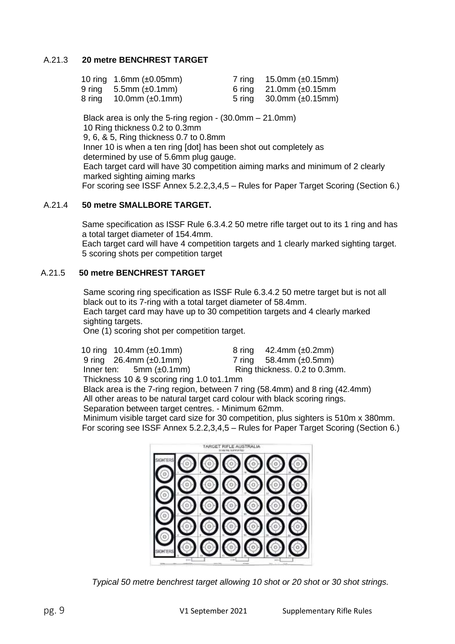#### A.21.3 **20 metre BENCHREST TARGET**

| 10 ring $1.6$ mm ( $\pm 0.05$ mm) | 7 ring $15.0$ mm (±0.15mm)        |
|-----------------------------------|-----------------------------------|
| 9 ring $5.5$ mm ( $\pm$ 0.1mm)    | 6 ring 21.0mm $(\pm 0.15$ mm      |
| 8 ring $10.0$ mm ( $\pm 0.1$ mm)  | 5 ring $30.0$ mm ( $\pm 0.15$ mm) |

Black area is only the 5-ring region - (30.0mm – 21.0mm) 10 Ring thickness 0.2 to 0.3mm 9, 6, & 5, Ring thickness 0.7 to 0.8mm Inner 10 is when a ten ring [dot] has been shot out completely as determined by use of 5.6mm plug gauge. Each target card will have 30 competition aiming marks and minimum of 2 clearly marked sighting aiming marks For scoring see ISSF Annex 5.2.2,3,4,5 – Rules for Paper Target Scoring (Section 6.)

#### A.21.4 **50 metre SMALLBORE TARGET.**

Same specification as ISSF Rule 6.3.4.2 50 metre rifle target out to its 1 ring and has a total target diameter of 154.4mm.

Each target card will have 4 competition targets and 1 clearly marked sighting target. 5 scoring shots per competition target

#### A.21.5 **50 metre BENCHREST TARGET**

Same scoring ring specification as ISSF Rule 6.3.4.2 50 metre target but is not all black out to its 7-ring with a total target diameter of 58.4mm. Each target card may have up to 30 competition targets and 4 clearly marked sighting targets. One (1) scoring shot per competition target.

10 ring 10.4mm (±0.1mm) 8 ring 42.4mm (±0.2mm) 9 ring 26.4mm (±0.1mm) 7 ring 58.4mm (±0.5mm) Inner ten:  $5mm (\pm 0.1mm)$  Ring thickness. 0.2 to 0.3mm. Thickness 10 & 9 scoring ring 1.0 to1.1mm Black area is the 7-ring region, between 7 ring (58.4mm) and 8 ring (42.4mm) All other areas to be natural target card colour with black scoring rings. Separation between target centres. - Minimum 62mm.

Minimum visible target card size for 30 competition, plus sighters is 510m x 380mm. For scoring see ISSF Annex 5.2.2,3,4,5 – Rules for Paper Target Scoring (Section 6.)



*Typical 50 metre benchrest target allowing 10 shot or 20 shot or 30 shot strings.*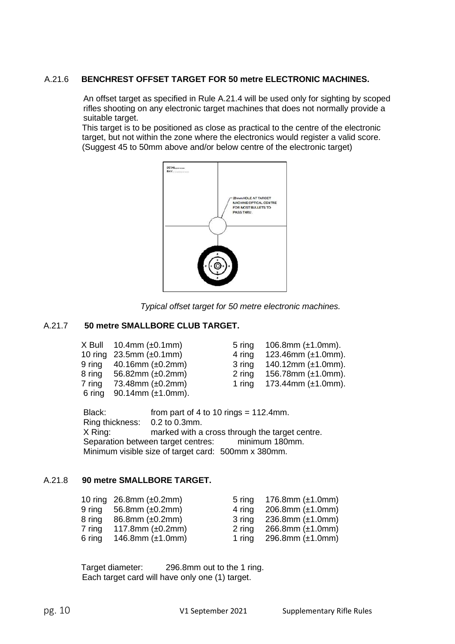#### A.21.6 **BENCHREST OFFSET TARGET FOR 50 metre ELECTRONIC MACHINES.**

An offset target as specified in Rule A.21.4 will be used only for sighting by scoped rifles shooting on any electronic target machines that does not normally provide a suitable target.

This target is to be positioned as close as practical to the centre of the electronic target, but not within the zone where the electronics would register a valid score. (Suggest 45 to 50mm above and/or below centre of the electronic target)



*Typical offset target for 50 metre electronic machines.*

#### A.21.7 **50 metre SMALLBORE CLUB TARGET.**

|        | $X$ Bull 10.4mm ( $\pm$ 0.1mm)    | 5 ring | 106.8mm $(\pm 1.0$ mm).  |
|--------|-----------------------------------|--------|--------------------------|
|        | 10 ring 23.5mm $(\pm 0.1$ mm)     | 4 ring | 123.46mm $(\pm 1.0$ mm). |
|        | 9 ring $40.16$ mm ( $\pm 0.2$ mm) | 3 ring | 140.12mm $(\pm 1.0$ mm). |
|        | 8 ring $56.82$ mm ( $\pm 0.2$ mm) | 2 ring | 156.78mm $(\pm 1.0$ mm). |
| 7 ring | 73.48mm $(\pm 0.2$ mm)            | 1 ring | 173.44mm $(\pm 1.0$ mm). |
|        | 6 ring 90.14mm $(\pm 1.0$ mm).    |        |                          |

Black: from part of 4 to 10 rings = 112.4mm. Ring thickness: 0.2 to 0.3mm. X Ring: marked with a cross through the target centre.<br>Separation between target centres: minimum 180mm. Separation between target centres: Minimum visible size of target card: 500mm x 380mm.

#### A.21.8 **90 metre SMALLBORE TARGET.**

|        | 10 ring $26.8$ mm ( $\pm 0.2$ mm) |        | 5 ring $176.8$ mm ( $\pm$ 1.0mm) |
|--------|-----------------------------------|--------|----------------------------------|
|        | 9 ring $56.8$ mm ( $\pm 0.2$ mm)  | 4 rina | $206.8$ mm ( $\pm$ 1.0mm)        |
| 8 ring | 86.8mm $(\pm 0.2$ mm)             |        | 3 ring $236.8$ mm ( $\pm$ 1.0mm) |
| 7 ring | 117.8mm $(\pm 0.2$ mm)            |        | 2 ring $266.8$ mm $(\pm 1.0$ mm) |
| 6 ring | 146.8mm (±1.0mm)                  |        | 1 ring $296.8$ mm ( $\pm$ 1.0mm) |

Target diameter: 296.8mm out to the 1 ring. Each target card will have only one (1) target.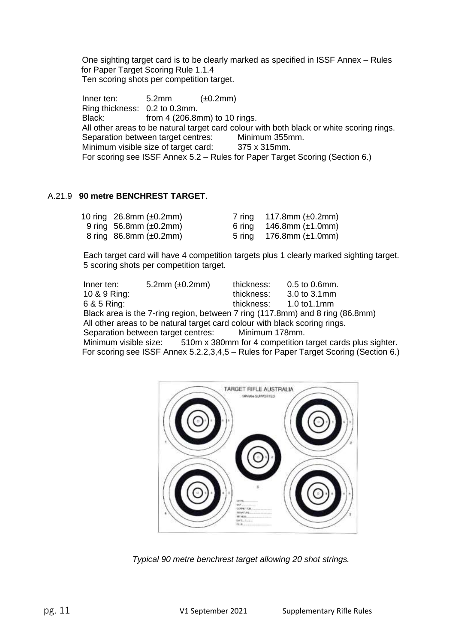One sighting target card is to be clearly marked as specified in ISSF Annex – Rules for Paper Target Scoring Rule 1.1.4 Ten scoring shots per competition target.

 $Inner ten: 5.2mm (±0.2mm)$ Ring thickness: 0.2 to 0.3mm. Black: from 4 (206.8mm) to 10 rings. All other areas to be natural target card colour with both black or white scoring rings. Separation between target centres: Minimum 355mm. Minimum visible size of target card: 375 x 315mm. For scoring see ISSF Annex 5.2 – Rules for Paper Target Scoring (Section 6.)

#### A.21.9 **90 metre BENCHREST TARGET**.

| 10 ring $26.8$ mm ( $\pm 0.2$ mm) | 7 ring 117.8mm $(\pm 0.2$ mm)    |
|-----------------------------------|----------------------------------|
| 9 ring 56.8mm $(\pm 0.2$ mm)      | 6 ring $146.8$ mm ( $\pm$ 1.0mm) |
| 8 ring $86.8$ mm ( $\pm 0.2$ mm)  | 5 ring $176.8$ mm ( $\pm$ 1.0mm) |

Each target card will have 4 competition targets plus 1 clearly marked sighting target. 5 scoring shots per competition target.

| Inner ten:                                                                  | 5.2mm $(\pm 0.2$ mm) | thickness: | $0.5$ to $0.6$ mm. |  |
|-----------------------------------------------------------------------------|----------------------|------------|--------------------|--|
| 10 & 9 Ring:                                                                |                      | thickness: | 3.0 to 3.1mm       |  |
| 6 & 5 Ring:                                                                 |                      | thickness: | $1.0$ to $1.1$ mm  |  |
| Rlack area is the 7 ring region, between 7 ring (117 Rmm) and 8 ring (86 Br |                      |            |                    |  |

Black area is the 7-ring region, between 7 ring (117.8mm) and 8 ring (86.8mm) All other areas to be natural target card colour with black scoring rings. Separation between target centres: Minimum 178mm.

Minimum visible size: 510m x 380mm for 4 competition target cards plus sighter. For scoring see ISSF Annex 5.2.2,3,4,5 – Rules for Paper Target Scoring (Section 6.)



*Typical 90 metre benchrest target allowing 20 shot strings.*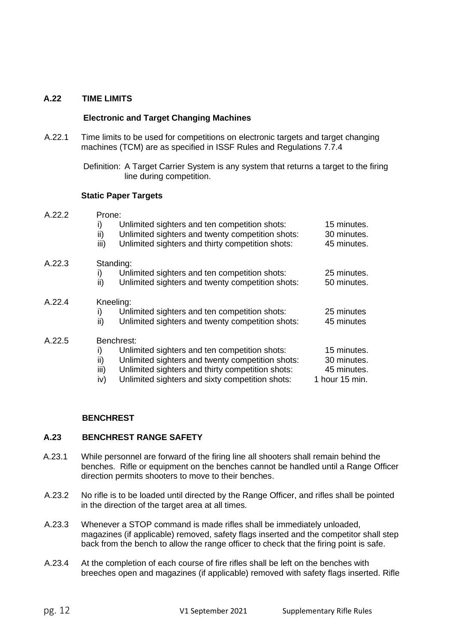#### **A.22 TIME LIMITS**

#### **Electronic and Target Changing Machines**

A.22.1 Time limits to be used for competitions on electronic targets and target changing machines (TCM) are as specified in ISSF Rules and Regulations 7.7.4

> Definition: A Target Carrier System is any system that returns a target to the firing line during competition.

#### **Static Paper Targets**

| A.22.2 | Prone:                                                                                                                                                                                                                                             |                                                             |  |  |  |
|--------|----------------------------------------------------------------------------------------------------------------------------------------------------------------------------------------------------------------------------------------------------|-------------------------------------------------------------|--|--|--|
|        | Unlimited sighters and ten competition shots:<br>i)<br>ii)<br>Unlimited sighters and twenty competition shots:<br>Unlimited sighters and thirty competition shots:<br>iii)                                                                         | 15 minutes.<br>30 minutes.<br>45 minutes.                   |  |  |  |
| A.22.3 | Standing:<br>Unlimited sighters and ten competition shots:<br>i)<br>Unlimited sighters and twenty competition shots:<br>ii)                                                                                                                        | 25 minutes.<br>50 minutes.                                  |  |  |  |
| A.22.4 | Kneeling:<br>Unlimited sighters and ten competition shots:<br>i)<br>ii)<br>Unlimited sighters and twenty competition shots:                                                                                                                        | 25 minutes<br>45 minutes                                    |  |  |  |
| A.22.5 | Benchrest:<br>Unlimited sighters and ten competition shots:<br>i)<br>ii)<br>Unlimited sighters and twenty competition shots:<br>iii)<br>Unlimited sighters and thirty competition shots:<br>Unlimited sighters and sixty competition shots:<br>iv) | 15 minutes.<br>30 minutes.<br>45 minutes.<br>1 hour 15 min. |  |  |  |

#### **BENCHREST**

#### **A.23 BENCHREST RANGE SAFETY**

- A.23.1 While personnel are forward of the firing line all shooters shall remain behind the benches. Rifle or equipment on the benches cannot be handled until a Range Officer direction permits shooters to move to their benches.
- A.23.2 No rifle is to be loaded until directed by the Range Officer, and rifles shall be pointed in the direction of the target area at all times.
- A.23.3 Whenever a STOP command is made rifles shall be immediately unloaded, magazines (if applicable) removed, safety flags inserted and the competitor shall step back from the bench to allow the range officer to check that the firing point is safe.
- A.23.4 At the completion of each course of fire rifles shall be left on the benches with breeches open and magazines (if applicable) removed with safety flags inserted. Rifle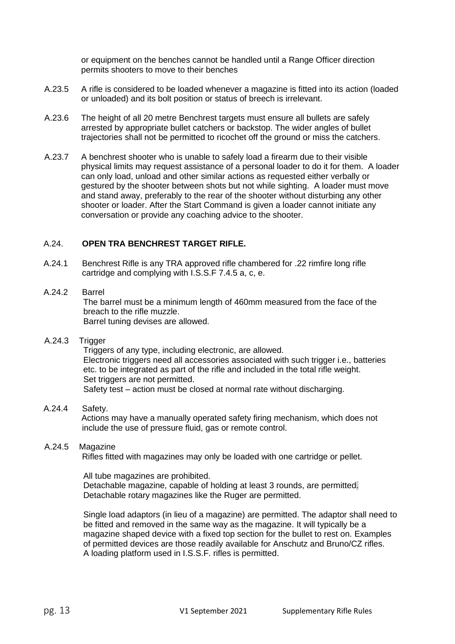or equipment on the benches cannot be handled until a Range Officer direction permits shooters to move to their benches

- A.23.5 A rifle is considered to be loaded whenever a magazine is fitted into its action (loaded or unloaded) and its bolt position or status of breech is irrelevant.
- A.23.6 The height of all 20 metre Benchrest targets must ensure all bullets are safely arrested by appropriate bullet catchers or backstop. The wider angles of bullet trajectories shall not be permitted to ricochet off the ground or miss the catchers.
- A.23.7 A benchrest shooter who is unable to safely load a firearm due to their visible physical limits may request assistance of a personal loader to do it for them. A loader can only load, unload and other similar actions as requested either verbally or gestured by the shooter between shots but not while sighting. A loader must move and stand away, preferably to the rear of the shooter without disturbing any other shooter or loader. After the Start Command is given a loader cannot initiate any conversation or provide any coaching advice to the shooter.

#### A.24. **OPEN TRA BENCHREST TARGET RIFLE.**

A.24.1 Benchrest Rifle is any TRA approved rifle chambered for .22 rimfire long rifle cartridge and complying with I.S.S.F 7.4.5 a, c, e.

#### A.24.2 Barrel

The barrel must be a minimum length of 460mm measured from the face of the breach to the rifle muzzle. Barrel tuning devises are allowed.

#### A.24.3 Trigger

Triggers of any type, including electronic, are allowed. Electronic triggers need all accessories associated with such trigger i.e., batteries etc. to be integrated as part of the rifle and included in the total rifle weight. Set triggers are not permitted. Safety test – action must be closed at normal rate without discharging.

#### A.24.4 Safety.

Actions may have a manually operated safety firing mechanism, which does not include the use of pressure fluid, gas or remote control.

#### A.24.5 Magazine

Rifles fitted with magazines may only be loaded with one cartridge or pellet.

All tube magazines are prohibited. Detachable magazine, capable of holding at least 3 rounds, are permitted. Detachable rotary magazines like the Ruger are permitted.

Single load adaptors (in lieu of a magazine) are permitted. The adaptor shall need to be fitted and removed in the same way as the magazine. It will typically be a magazine shaped device with a fixed top section for the bullet to rest on. Examples of permitted devices are those readily available for Anschutz and Bruno/CZ rifles. A loading platform used in I.S.S.F. rifles is permitted.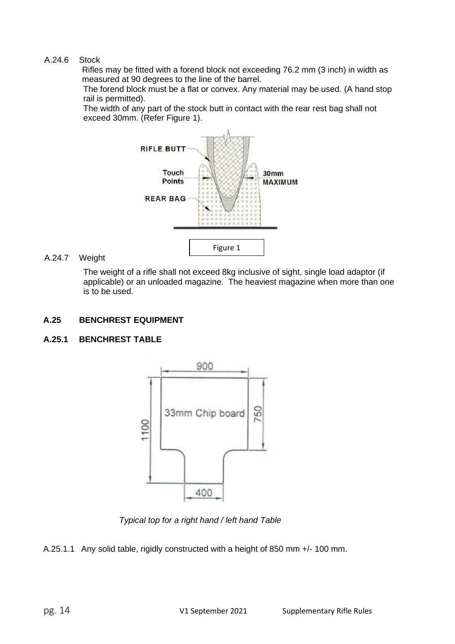#### A.24.6 Stock

Rifles may be fitted with a forend block not exceeding 76.2 mm (3 inch) in width as measured at 90 degrees to the line of the barrel.

The forend block must be a flat or convex. Any material may be used. (A hand stop rail is permitted).

The width of any part of the stock butt in contact with the rear rest bag shall not exceed 30mm. (Refer Figure 1).



#### A.24.7 Weight

The weight of a rifle shall not exceed 8kg inclusive of sight, single load adaptor (if applicable) or an unloaded magazine. The heaviest magazine when more than one is to be used.

#### **A.25 BENCHREST EQUIPMENT**

#### **A.25.1 BENCHREST TABLE**



*Typical top for a right hand / left hand Table*

A.25.1.1 Any solid table, rigidly constructed with a height of 850 mm +/- 100 mm.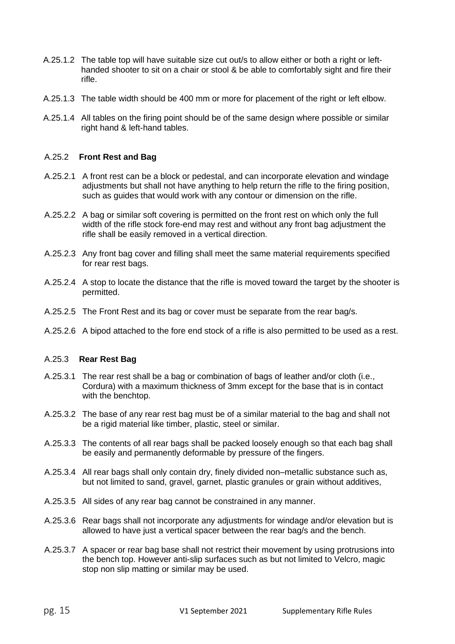- A.25.1.2 The table top will have suitable size cut out/s to allow either or both a right or lefthanded shooter to sit on a chair or stool & be able to comfortably sight and fire their rifle.
- A.25.1.3 The table width should be 400 mm or more for placement of the right or left elbow.
- A.25.1.4 All tables on the firing point should be of the same design where possible or similar right hand & left-hand tables.

#### A.25.2 **Front Rest and Bag**

- A.25.2.1 A front rest can be a block or pedestal, and can incorporate elevation and windage adjustments but shall not have anything to help return the rifle to the firing position, such as guides that would work with any contour or dimension on the rifle.
- A.25.2.2 A bag or similar soft covering is permitted on the front rest on which only the full width of the rifle stock fore-end may rest and without any front bag adjustment the rifle shall be easily removed in a vertical direction.
- A.25.2.3 Any front bag cover and filling shall meet the same material requirements specified for rear rest bags.
- A.25.2.4 A stop to locate the distance that the rifle is moved toward the target by the shooter is permitted.
- A.25.2.5 The Front Rest and its bag or cover must be separate from the rear bag/s.
- A.25.2.6 A bipod attached to the fore end stock of a rifle is also permitted to be used as a rest.

#### A.25.3 **Rear Rest Bag**

- A.25.3.1 The rear rest shall be a bag or combination of bags of leather and/or cloth (i.e., Cordura) with a maximum thickness of 3mm except for the base that is in contact with the benchtop.
- A.25.3.2 The base of any rear rest bag must be of a similar material to the bag and shall not be a rigid material like timber, plastic, steel or similar.
- A.25.3.3 The contents of all rear bags shall be packed loosely enough so that each bag shall be easily and permanently deformable by pressure of the fingers.
- A.25.3.4 All rear bags shall only contain dry, finely divided non–metallic substance such as, but not limited to sand, gravel, garnet, plastic granules or grain without additives,
- A.25.3.5 All sides of any rear bag cannot be constrained in any manner.
- A.25.3.6 Rear bags shall not incorporate any adjustments for windage and/or elevation but is allowed to have just a vertical spacer between the rear bag/s and the bench.
- A.25.3.7 A spacer or rear bag base shall not restrict their movement by using protrusions into the bench top. However anti-slip surfaces such as but not limited to Velcro, magic stop non slip matting or similar may be used.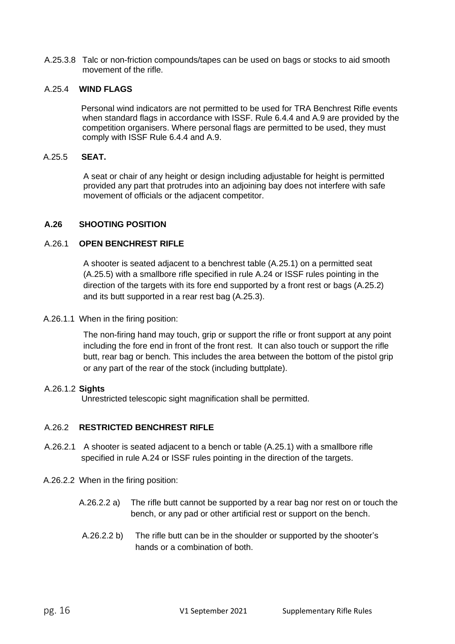A.25.3.8 Talc or non-friction compounds/tapes can be used on bags or stocks to aid smooth movement of the rifle.

#### A.25.4 **WIND FLAGS**

Personal wind indicators are not permitted to be used for TRA Benchrest Rifle events when standard flags in accordance with ISSF. Rule 6.4.4 and A.9 are provided by the competition organisers. Where personal flags are permitted to be used, they must comply with ISSF Rule 6.4.4 and A.9.

#### A.25.5 **SEAT.**

A seat or chair of any height or design including adjustable for height is permitted provided any part that protrudes into an adjoining bay does not interfere with safe movement of officials or the adjacent competitor.

#### **A.26 SHOOTING POSITION**

#### A.26.1 **OPEN BENCHREST RIFLE**

A shooter is seated adjacent to a benchrest table (A.25.1) on a permitted seat (A.25.5) with a smallbore rifle specified in rule A.24 or ISSF rules pointing in the direction of the targets with its fore end supported by a front rest or bags (A.25.2) and its butt supported in a rear rest bag (A.25.3).

#### A.26.1.1 When in the firing position:

The non-firing hand may touch, grip or support the rifle or front support at any point including the fore end in front of the front rest. It can also touch or support the rifle butt, rear bag or bench. This includes the area between the bottom of the pistol grip or any part of the rear of the stock (including buttplate).

#### A.26.1.2 **Sights**

Unrestricted telescopic sight magnification shall be permitted.

#### A.26.2 **RESTRICTED BENCHREST RIFLE**

- A.26.2.1 A shooter is seated adjacent to a bench or table (A.25.1) with a smallbore rifle specified in rule A.24 or ISSF rules pointing in the direction of the targets.
- A.26.2.2 When in the firing position:
	- A.26.2.2 a) The rifle butt cannot be supported by a rear bag nor rest on or touch the bench, or any pad or other artificial rest or support on the bench.
	- A.26.2.2 b) The rifle butt can be in the shoulder or supported by the shooter's hands or a combination of both.